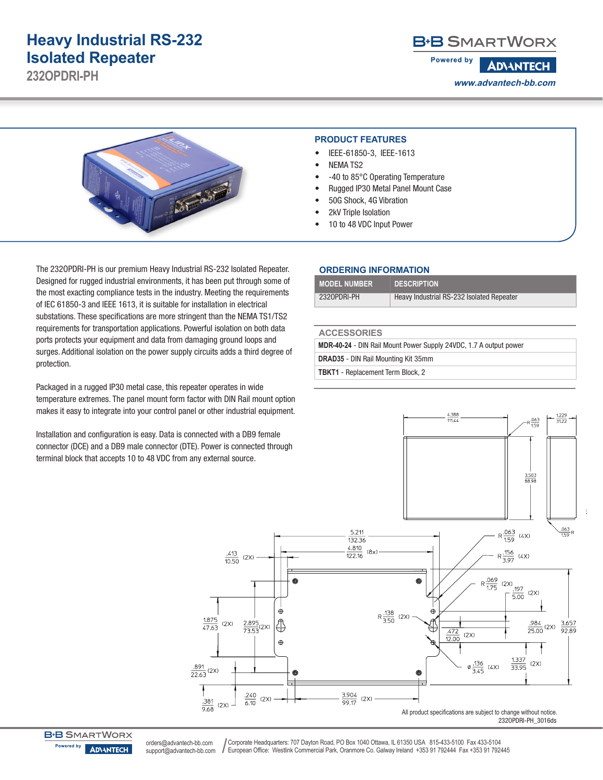## **Heavy Industrial RS-232 Isolated Repeater**

**232OPDRI-PH**

### **B-B SMARTWORX**

**Powered by ADVANTECH www.advantech-bb.com**



#### **PRODUCT FEATURES**

- IEEE-61850-3, IEEE-1613
- NEMA TS2
- -40 to 85°C Operating Temperature
- Rugged IP30 Metal Panel Mount Case
- 50G Shock, 4G Vibration
- 2kV Triple Isolation
- 10 to 48 VDC Input Power

The 232OPDRI-PH is our premium Heavy Industrial RS-232 Isolated Repeater. Designed for rugged industrial environments, it has been put through some of the most exacting compliance tests in the industry. Meeting the requirements of IEC 61850-3 and IEEE 1613, it is suitable for installation in electrical substations. These specifications are more stringent than the NEMA TS1/TS2 requirements for transportation applications. Powerful isolation on both data ports protects your equipment and data from damaging ground loops and surges. Additional isolation on the power supply circuits adds a third degree of protection.

Packaged in a rugged IP30 metal case, this repeater operates in wide temperature extremes. The panel mount form factor with DIN Rail mount option makes it easy to integrate into your control panel or other industrial equipment.

Installation and configuration is easy. Data is connected with a DB9 female connector (DCE) and a DB9 male connector (DTE). Power is connected through terminal block that accepts 10 to 48 VDC from any external source.

#### **ORDERING INFORMATION**

| <b>MODEL NUMBER</b> | <b>DESCRIPTION</b>                        |
|---------------------|-------------------------------------------|
| 2320PDRI-PH         | Heavy Industrial RS-232 Isolated Repeater |

#### **ACCESSORIES**

**MDR-40-24** - DIN Rail Mount Power Supply 24VDC, 1.7 A output power **DRAD35** - DIN Rail Mounting Kit 35mm

**TBKT1** - Replacement Term Block, 2



**B+B SMARTWORX** Powered by **ADVANTECH** 

Corporate Headquarters: 707 Dayton Road, PO Box 1040 Ottawa, IL 61350 USA 815-433-5100 Fax 433-5104 European Office: Westlink Commercial Park, Oranmore Co. Galway Ireland +353 91 792444 Fax +353 91 792445 orders@advantech-bb.com support@advantech-bb.com